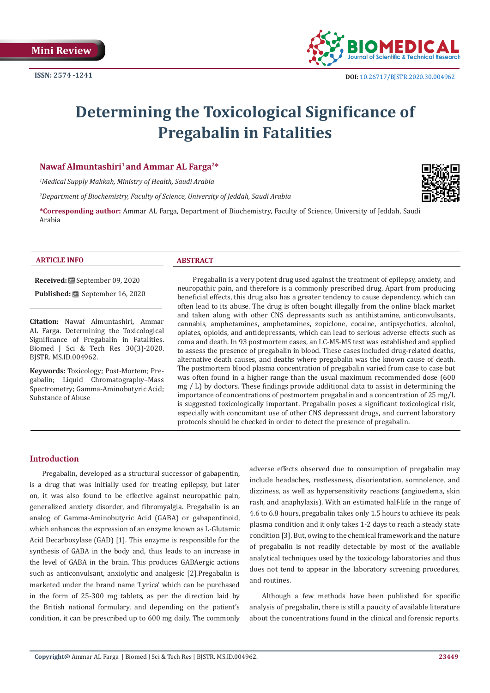

# **Determining the Toxicological Significance of Pregabalin in Fatalities**

# **Nawaf Almuntashiri<sup>1</sup>and Ammar AL Farga2\***

*1 Medical Supply Makkah, Ministry of Health, Saudi Arabia*

*2 Department of Biochemistry, Faculty of Science, University of Jeddah, Saudi Arabia*

**\*Corresponding author:** Ammar AL Farga, Department of Biochemistry, Faculty of Science, University of Jeddah, Saudi Arabia

#### **ARTICLE INFO ABSTRACT**

**Received:** September 09, 2020

**Published:** September 16, 2020

**Citation:** Nawaf Almuntashiri, Ammar AL Farga. Determining the Toxicological Significance of Pregabalin in Fatalities. Biomed J Sci & Tech Res 30(3)-2020. BJSTR. MS.ID.004962.

**Keywords:** Toxicology; Post-Mortem; Pregabalin; Liquid Chromatography–Mass Spectrometry; Gamma-Aminobutyric Acid; Substance of Abuse

 Pregabalin is a very potent drug used against the treatment of epilepsy, anxiety, and neuropathic pain, and therefore is a commonly prescribed drug. Apart from producing beneficial effects, this drug also has a greater tendency to cause dependency, which can often lead to its abuse. The drug is often bought illegally from the online black market and taken along with other CNS depressants such as antihistamine, anticonvulsants, cannabis, amphetamines, amphetamines, zopiclone, cocaine, antipsychotics, alcohol, opiates, opioids, and antidepressants, which can lead to serious adverse effects such as coma and death. In 93 postmortem cases, an LC-MS-MS test was established and applied to assess the presence of pregabalin in blood. These cases included drug-related deaths, alternative death causes, and deaths where pregabalin was the known cause of death. The postmortem blood plasma concentration of pregabalin varied from case to case but was often found in a higher range than the usual maximum recommended dose (600 mg  $/$  L) by doctors. These findings provide additional data to assist in determining the importance of concentrations of postmortem pregabalin and a concentration of 25 mg/L is suggested toxicologically important. Pregabalin poses a significant toxicological risk, especially with concomitant use of other CNS depressant drugs, and current laboratory protocols should be checked in order to detect the presence of pregabalin.

#### **Introduction**

Pregabalin, developed as a structural successor of gabapentin, is a drug that was initially used for treating epilepsy, but later on, it was also found to be effective against neuropathic pain, generalized anxiety disorder, and fibromyalgia. Pregabalin is an analog of Gamma-Aminobutyric Acid (GABA) or gabapentinoid, which enhances the expression of an enzyme known as L-Glutamic Acid Decarboxylase (GAD) [1]. This enzyme is responsible for the synthesis of GABA in the body and, thus leads to an increase in the level of GABA in the brain. This produces GABAergic actions such as anticonvulsant, anxiolytic and analgesic [2].Pregabalin is marketed under the brand name 'Lyrica' which can be purchased in the form of 25-300 mg tablets, as per the direction laid by the British national formulary, and depending on the patient's condition, it can be prescribed up to 600 mg daily. The commonly

adverse effects observed due to consumption of pregabalin may include headaches, restlessness, disorientation, somnolence, and dizziness, as well as hypersensitivity reactions (angioedema, skin rash, and anaphylaxis). With an estimated half-life in the range of 4.6 to 6.8 hours, pregabalin takes only 1.5 hours to achieve its peak plasma condition and it only takes 1-2 days to reach a steady state condition [3]. But, owing to the chemical framework and the nature of pregabalin is not readily detectable by most of the available analytical techniques used by the toxicology laboratories and thus does not tend to appear in the laboratory screening procedures, and routines.

Although a few methods have been published for specific analysis of pregabalin, there is still a paucity of available literature about the concentrations found in the clinical and forensic reports.

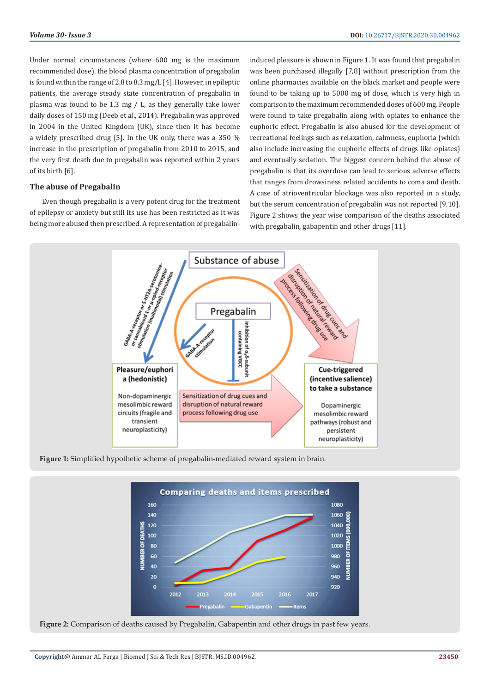Under normal circumstances (where 600 mg is the maximum recommended dose), the blood plasma concentration of pregabalin is found within the range of 2.8 to 8.3 mg/L [4]. However, in epileptic patients, the average steady state concentration of pregabalin in plasma was found to be 1.3 mg / L, as they generally take lower daily doses of 150 mg (Deeb et al., 2014). Pregabalin was approved in 2004 in the United Kingdom (UK), since then it has become a widely prescribed drug [5]. In the UK only, there was a 350 % increase in the prescription of pregabalin from 2010 to 2015, and the very first death due to pregabalin was reported within 2 years of its birth [6].

# **The abuse of Pregabalin**

Even though pregabalin is a very potent drug for the treatment of epilepsy or anxiety but still its use has been restricted as it was being more abused then prescribed. A representation of pregabalininduced pleasure is shown in Figure 1. It was found that pregabalin was been purchased illegally [7,8] without prescription from the online pharmacies available on the black market and people were found to be taking up to 5000 mg of dose, which is very high in comparison to the maximum recommended doses of 600 mg. People were found to take pregabalin along with opiates to enhance the euphoric effect. Pregabalin is also abused for the development of recreational feelings such as relaxation, calmness, euphoria (which also include increasing the euphoric effects of drugs like opiates) and eventually sedation. The biggest concern behind the abuse of pregabalin is that its overdose can lead to serious adverse effects that ranges from drowsiness related accidents to coma and death. A case of atrioventricular blockage was also reported in a study, but the serum concentration of pregabalin was not reported [9,10]. Figure 2 shows the year wise comparison of the deaths associated with pregabalin, gabapentin and other drugs [11].



**Figure 1:** Simplified hypothetic scheme of pregabalin-mediated reward system in brain.



**Figure 2:** Comparison of deaths caused by Pregabalin, Gabapentin and other drugs in past few years.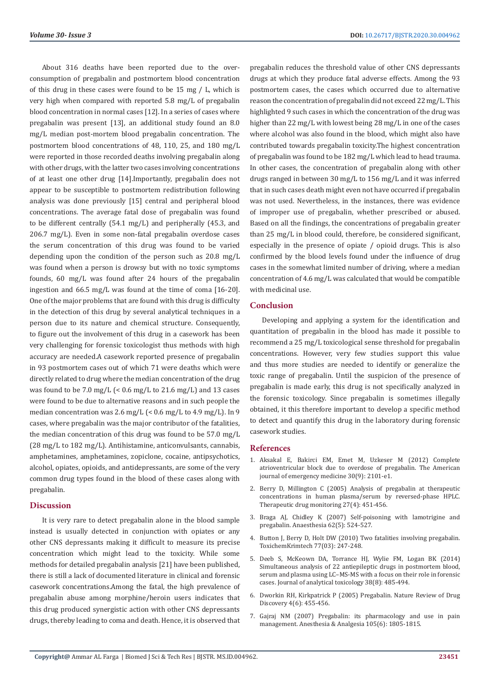About 316 deaths have been reported due to the overconsumption of pregabalin and postmortem blood concentration of this drug in these cases were found to be 15 mg / L, which is very high when compared with reported 5.8 mg/L of pregabalin blood concentration in normal cases [12]. In a series of cases where pregabalin was present [13], an additional study found an 8.0 mg/L median post-mortem blood pregabalin concentration. The postmortem blood concentrations of 48, 110, 25, and 180 mg/L were reported in those recorded deaths involving pregabalin along with other drugs, with the latter two cases involving concentrations of at least one other drug [14].Importantly, pregabalin does not appear to be susceptible to postmortem redistribution following analysis was done previously [15] central and peripheral blood concentrations. The average fatal dose of pregabalin was found to be different centrally (54.1 mg/L) and peripherally (45.3, and 206.7 mg/L). Even in some non-fatal pregabalin overdose cases the serum concentration of this drug was found to be varied depending upon the condition of the person such as 20.8 mg/L was found when a person is drowsy but with no toxic symptoms founds, 60 mg/L was found after 24 hours of the pregabalin ingestion and 66.5 mg/L was found at the time of coma [16-20]. One of the major problems that are found with this drug is difficulty in the detection of this drug by several analytical techniques in a person due to its nature and chemical structure. Consequently, to figure out the involvement of this drug in a casework has been very challenging for forensic toxicologist thus methods with high accuracy are needed.A casework reported presence of pregabalin in 93 postmortem cases out of which 71 were deaths which were directly related to drug where the median concentration of the drug was found to be 7.0 mg/L  $\approx$  0.6 mg/L to 21.6 mg/L) and 13 cases were found to be due to alternative reasons and in such people the median concentration was 2.6 mg/L (< 0.6 mg/L to 4.9 mg/L). In 9 cases, where pregabalin was the major contributor of the fatalities, the median concentration of this drug was found to be 57.0 mg/L (28 mg/L to 182 mg/L). Antihistamine, anticonvulsants, cannabis, amphetamines, amphetamines, zopiclone, cocaine, antipsychotics, alcohol, opiates, opioids, and antidepressants, are some of the very common drug types found in the blood of these cases along with pregabalin.

#### **Discussion**

It is very rare to detect pregabalin alone in the blood sample instead is usually detected in conjunction with opiates or any other CNS depressants making it difficult to measure its precise concentration which might lead to the toxicity. While some methods for detailed pregabalin analysis [21] have been published, there is still a lack of documented literature in clinical and forensic casework concentrations.Among the fatal, the high prevalence of pregabalin abuse among morphine/heroin users indicates that this drug produced synergistic action with other CNS depressants drugs, thereby leading to coma and death. Hence, it is observed that

pregabalin reduces the threshold value of other CNS depressants drugs at which they produce fatal adverse effects. Among the 93 postmortem cases, the cases which occurred due to alternative reason the concentration of pregabalin did not exceed 22 mg/L. This highlighted 9 such cases in which the concentration of the drug was higher than 22 mg/L with lowest being 28 mg/L in one of the cases where alcohol was also found in the blood, which might also have contributed towards pregabalin toxicity.The highest concentration of pregabalin was found to be 182 mg/L which lead to head trauma. In other cases, the concentration of pregabalin along with other drugs ranged in between 30 mg/L to 156 mg/L and it was inferred that in such cases death might even not have occurred if pregabalin was not used. Nevertheless, in the instances, there was evidence of improper use of pregabalin, whether prescribed or abused. Based on all the findings, the concentrations of pregabalin greater than 25 mg/L in blood could, therefore, be considered significant, especially in the presence of opiate / opioid drugs. This is also confirmed by the blood levels found under the influence of drug cases in the somewhat limited number of driving, where a median concentration of 4.6 mg/L was calculated that would be compatible with medicinal use.

# **Conclusion**

Developing and applying a system for the identification and quantitation of pregabalin in the blood has made it possible to recommend a 25 mg/L toxicological sense threshold for pregabalin concentrations. However, very few studies support this value and thus more studies are needed to identify or generalize the toxic range of pregabalin. Until the suspicion of the presence of pregabalin is made early, this drug is not specifically analyzed in the forensic toxicology. Since pregabalin is sometimes illegally obtained, it this therefore important to develop a specific method to detect and quantify this drug in the laboratory during forensic casework studies.

# **References**

- 1. [Aksakal E, Bakirci EM, Emet M, Uzkeser M \(2012\) Complete](https://pubmed.ncbi.nlm.nih.gov/22633711/) [atrioventricular block due to overdose of pregabalin. The American](https://pubmed.ncbi.nlm.nih.gov/22633711/) [journal of emergency medicine 30\(9\): 2101-e1.](https://pubmed.ncbi.nlm.nih.gov/22633711/)
- 2. [Berry D, Millington C \(2005\) Analysis of pregabalin at therapeutic](https://pubmed.ncbi.nlm.nih.gov/16044101/) [concentrations in human plasma/serum by reversed-phase HPLC.](https://pubmed.ncbi.nlm.nih.gov/16044101/) [Therapeutic drug monitoring 27\(4\): 451-456.](https://pubmed.ncbi.nlm.nih.gov/16044101/)
- 3. [Braga AJ, Chidley K \(2007\) Self-poisoning with lamotrigine and](https://pubmed.ncbi.nlm.nih.gov/17448068/) [pregabalin. Anaesthesia 62\(5\): 524-527.](https://pubmed.ncbi.nlm.nih.gov/17448068/)
- 4. [Button J, Berry D, Holt DW \(2010\) Two fatalities involving pregabalin.](http://www.the-ltg.org/data/uploads/posters/pregabalin.pdf) [ToxichemKrimtech 77\(03\): 247-248.](http://www.the-ltg.org/data/uploads/posters/pregabalin.pdf)
- 5. [Deeb S, McKeown DA, Torrance HJ, Wylie FM, Logan BK \(2014\)](https://pubmed.ncbi.nlm.nih.gov/25217536/) [Simultaneous analysis of 22 antiepileptic drugs in postmortem blood,](https://pubmed.ncbi.nlm.nih.gov/25217536/) [serum and plasma using LC–MS-MS with a focus on their role in forensic](https://pubmed.ncbi.nlm.nih.gov/25217536/) [cases. Journal of analytical toxicology 38\(8\): 485-494.](https://pubmed.ncbi.nlm.nih.gov/25217536/)
- 6. [Dworkin RH, Kirkpatrick P \(2005\) Pregabalin. Nature Review of Drug](https://pubmed.ncbi.nlm.nih.gov/15959952/) [Discovery 4\(6\): 455-456.](https://pubmed.ncbi.nlm.nih.gov/15959952/)
- 7. [Gajraj NM \(2007\) Pregabalin: its pharmacology and use in pain](https://pubmed.ncbi.nlm.nih.gov/18042886/) [management. Anesthesia & Analgesia 105\(6\): 1805-1815.](https://pubmed.ncbi.nlm.nih.gov/18042886/)